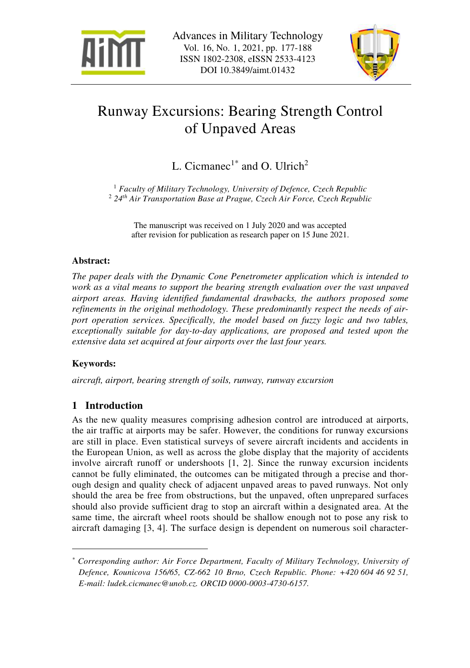



# Runway Excursions: Bearing Strength Control of Unpaved Areas

L. Cicmanec<sup>1\*</sup> and O. Ulrich<sup>2</sup>

<sup>1</sup> Faculty of Military Technology, University of Defence, Czech Republic 2  *24th Air Transportation Base at Prague, Czech Air Force, Czech Republic* 

The manuscript was received on 1 July 2020 and was accepted after revision for publication as research paper on 15 June 2021.

## **Abstract:**

*The paper deals with the Dynamic Cone Penetrometer application which is intended to work as a vital means to support the bearing strength evaluation over the vast unpaved airport areas. Having identified fundamental drawbacks, the authors proposed some refinements in the original methodology. These predominantly respect the needs of airport operation services. Specifically, the model based on fuzzy logic and two tables, exceptionally suitable for day-to-day applications, are proposed and tested upon the extensive data set acquired at four airports over the last four years.* 

## **Keywords:**

 $\overline{a}$ 

*aircraft, airport, bearing strength of soils, runway, runway excursion* 

# **1 Introduction**

As the new quality measures comprising adhesion control are introduced at airports, the air traffic at airports may be safer. However, the conditions for runway excursions are still in place. Even statistical surveys of severe aircraft incidents and accidents in the European Union, as well as across the globe display that the majority of accidents involve aircraft runoff or undershoots [1, 2]. Since the runway excursion incidents cannot be fully eliminated, the outcomes can be mitigated through a precise and thorough design and quality check of adjacent unpaved areas to paved runways. Not only should the area be free from obstructions, but the unpaved, often unprepared surfaces should also provide sufficient drag to stop an aircraft within a designated area. At the same time, the aircraft wheel roots should be shallow enough not to pose any risk to aircraft damaging [3, 4]. The surface design is dependent on numerous soil character-

*<sup>\*</sup> Corresponding author: Air Force Department, Faculty of Military Technology, University of Defence, Kounicova 156/65, CZ-662 10 Brno, Czech Republic. Phone: +420 604 46 92 51, E-mail: ludek.cicmanec@unob.cz. ORCID 0000-0003-4730-6157.*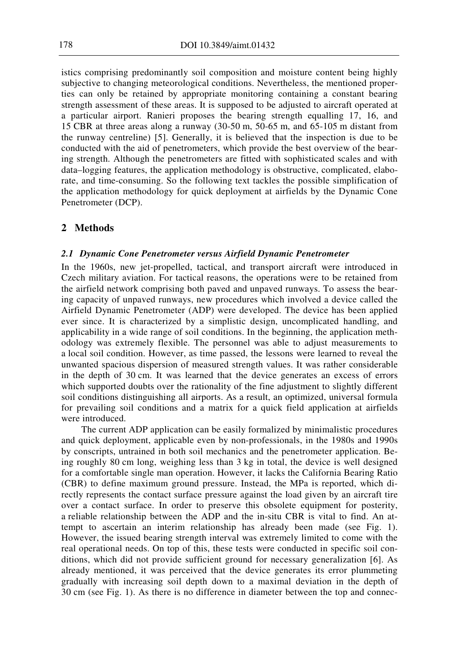istics comprising predominantly soil composition and moisture content being highly subjective to changing meteorological conditions. Nevertheless, the mentioned properties can only be retained by appropriate monitoring containing a constant bearing strength assessment of these areas. It is supposed to be adjusted to aircraft operated at a particular airport. Ranieri proposes the bearing strength equalling 17, 16, and 15 CBR at three areas along a runway (30-50 m, 50-65 m, and 65-105 m distant from the runway centreline) [5]. Generally, it is believed that the inspection is due to be conducted with the aid of penetrometers, which provide the best overview of the bearing strength. Although the penetrometers are fitted with sophisticated scales and with data–logging features, the application methodology is obstructive, complicated, elaborate, and time-consuming. So the following text tackles the possible simplification of the application methodology for quick deployment at airfields by the Dynamic Cone Penetrometer (DCP).

## **2 Methods**

#### *2.1 Dynamic Cone Penetrometer versus Airfield Dynamic Penetrometer*

In the 1960s, new jet-propelled, tactical, and transport aircraft were introduced in Czech military aviation. For tactical reasons, the operations were to be retained from the airfield network comprising both paved and unpaved runways. To assess the bearing capacity of unpaved runways, new procedures which involved a device called the Airfield Dynamic Penetrometer (ADP) were developed. The device has been applied ever since. It is characterized by a simplistic design, uncomplicated handling, and applicability in a wide range of soil conditions. In the beginning, the application methodology was extremely flexible. The personnel was able to adjust measurements to a local soil condition. However, as time passed, the lessons were learned to reveal the unwanted spacious dispersion of measured strength values. It was rather considerable in the depth of 30 cm. It was learned that the device generates an excess of errors which supported doubts over the rationality of the fine adjustment to slightly different soil conditions distinguishing all airports. As a result, an optimized, universal formula for prevailing soil conditions and a matrix for a quick field application at airfields were introduced.

The current ADP application can be easily formalized by minimalistic procedures and quick deployment, applicable even by non-professionals, in the 1980s and 1990s by conscripts, untrained in both soil mechanics and the penetrometer application. Being roughly 80 cm long, weighing less than 3 kg in total, the device is well designed for a comfortable single man operation. However, it lacks the California Bearing Ratio (CBR) to define maximum ground pressure. Instead, the MPa is reported, which directly represents the contact surface pressure against the load given by an aircraft tire over a contact surface. In order to preserve this obsolete equipment for posterity, a reliable relationship between the ADP and the in-situ CBR is vital to find. An attempt to ascertain an interim relationship has already been made (see Fig. 1). However, the issued bearing strength interval was extremely limited to come with the real operational needs. On top of this, these tests were conducted in specific soil conditions, which did not provide sufficient ground for necessary generalization [6]. As already mentioned, it was perceived that the device generates its error plummeting gradually with increasing soil depth down to a maximal deviation in the depth of 30 cm (see Fig. 1). As there is no difference in diameter between the top and connec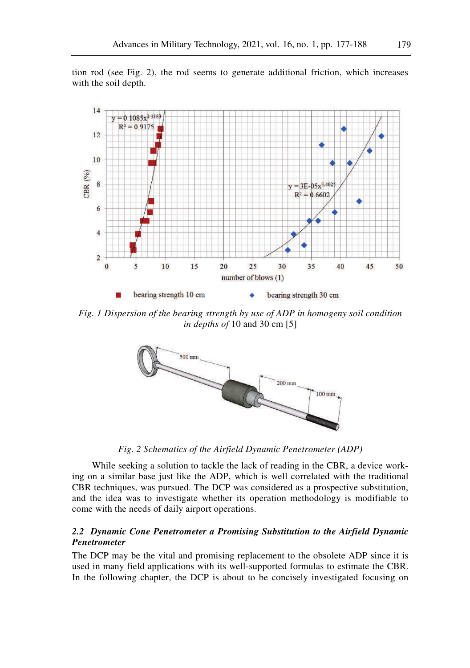tion rod (see Fig. 2), the rod seems to generate additional friction, which increases with the soil depth.



*Fig. 1 Dispersion of the bearing strength by use of ADP in homogeny soil condition in depths of* 10 and 30 cm [5]



*Fig. 2 Schematics of the Airfield Dynamic Penetrometer (ADP)* 

While seeking a solution to tackle the lack of reading in the CBR, a device working on a similar base just like the ADP, which is well correlated with the traditional CBR techniques, was pursued. The DCP was considered as a prospective substitution, and the idea was to investigate whether its operation methodology is modifiable to come with the needs of daily airport operations.

## *2.2 Dynamic Cone Penetrometer a Promising Substitution to the Airfield Dynamic Penetrometer*

The DCP may be the vital and promising replacement to the obsolete ADP since it is used in many field applications with its well-supported formulas to estimate the CBR. In the following chapter, the DCP is about to be concisely investigated focusing on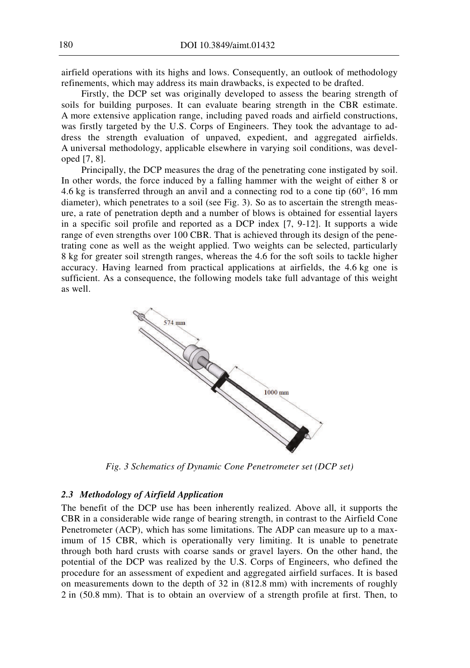airfield operations with its highs and lows. Consequently, an outlook of methodology refinements, which may address its main drawbacks, is expected to be drafted.

Firstly, the DCP set was originally developed to assess the bearing strength of soils for building purposes. It can evaluate bearing strength in the CBR estimate. A more extensive application range, including paved roads and airfield constructions, was firstly targeted by the U.S. Corps of Engineers. They took the advantage to address the strength evaluation of unpaved, expedient, and aggregated airfields. A universal methodology, applicable elsewhere in varying soil conditions, was developed [7, 8].

Principally, the DCP measures the drag of the penetrating cone instigated by soil. In other words, the force induced by a falling hammer with the weight of either 8 or 4.6 kg is transferred through an anvil and a connecting rod to a cone tip  $(60^{\circ}, 16 \text{ mm})$ diameter), which penetrates to a soil (see Fig. 3). So as to ascertain the strength measure, a rate of penetration depth and a number of blows is obtained for essential layers in a specific soil profile and reported as a DCP index [7, 9-12]. It supports a wide range of even strengths over 100 CBR. That is achieved through its design of the penetrating cone as well as the weight applied. Two weights can be selected, particularly 8 kg for greater soil strength ranges, whereas the 4.6 for the soft soils to tackle higher accuracy. Having learned from practical applications at airfields, the 4.6 kg one is sufficient. As a consequence, the following models take full advantage of this weight as well.



*Fig. 3 Schematics of Dynamic Cone Penetrometer set (DCP set)* 

#### *2.3 Methodology of Airfield Application*

The benefit of the DCP use has been inherently realized. Above all, it supports the CBR in a considerable wide range of bearing strength, in contrast to the Airfield Cone Penetrometer (ACP), which has some limitations. The ADP can measure up to a maximum of 15 CBR, which is operationally very limiting. It is unable to penetrate through both hard crusts with coarse sands or gravel layers. On the other hand, the potential of the DCP was realized by the U.S. Corps of Engineers, who defined the procedure for an assessment of expedient and aggregated airfield surfaces. It is based on measurements down to the depth of 32 in (812.8 mm) with increments of roughly 2 in (50.8 mm). That is to obtain an overview of a strength profile at first. Then, to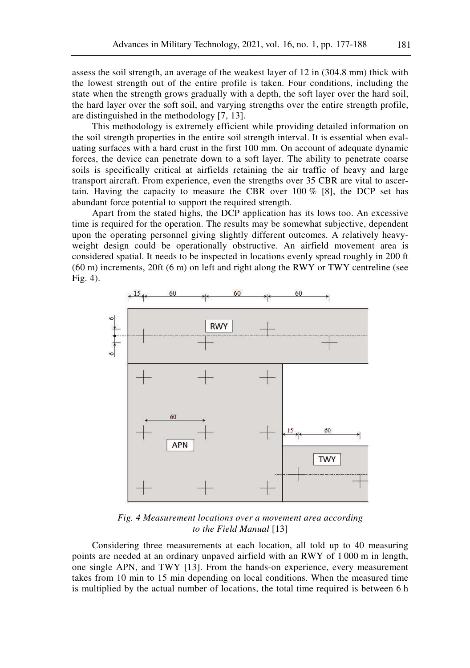assess the soil strength, an average of the weakest layer of 12 in (304.8 mm) thick with the lowest strength out of the entire profile is taken. Four conditions, including the state when the strength grows gradually with a depth, the soft layer over the hard soil, the hard layer over the soft soil, and varying strengths over the entire strength profile, are distinguished in the methodology [7, 13].

This methodology is extremely efficient while providing detailed information on the soil strength properties in the entire soil strength interval. It is essential when evaluating surfaces with a hard crust in the first 100 mm. On account of adequate dynamic forces, the device can penetrate down to a soft layer. The ability to penetrate coarse soils is specifically critical at airfields retaining the air traffic of heavy and large transport aircraft. From experience, even the strengths over 35 CBR are vital to ascertain. Having the capacity to measure the CBR over  $100\%$  [8], the DCP set has abundant force potential to support the required strength.

Apart from the stated highs, the DCP application has its lows too. An excessive time is required for the operation. The results may be somewhat subjective, dependent upon the operating personnel giving slightly different outcomes. A relatively heavyweight design could be operationally obstructive. An airfield movement area is considered spatial. It needs to be inspected in locations evenly spread roughly in 200 ft (60 m) increments, 20ft (6 m) on left and right along the RWY or TWY centreline (see Fig. 4).



*Fig. 4 Measurement locations over a movement area according to the Field Manual* [13]

Considering three measurements at each location, all told up to 40 measuring points are needed at an ordinary unpaved airfield with an RWY of 1 000 m in length, one single APN, and TWY [13]. From the hands-on experience, every measurement takes from 10 min to 15 min depending on local conditions. When the measured time is multiplied by the actual number of locations, the total time required is between 6 h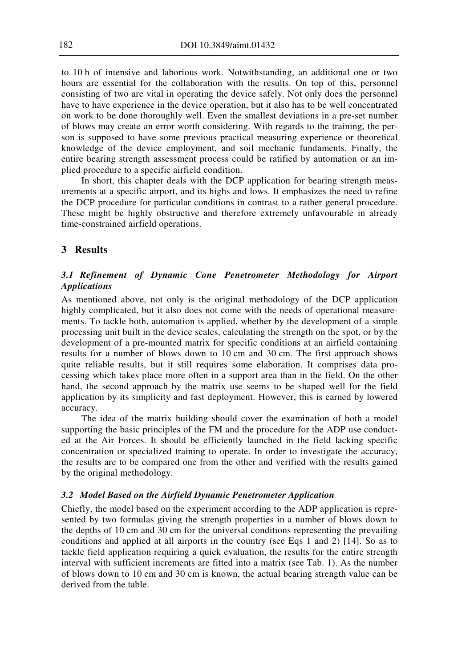to 10 h of intensive and laborious work. Notwithstanding, an additional one or two hours are essential for the collaboration with the results. On top of this, personnel consisting of two are vital in operating the device safely. Not only does the personnel have to have experience in the device operation, but it also has to be well concentrated on work to be done thoroughly well. Even the smallest deviations in a pre-set number of blows may create an error worth considering. With regards to the training, the person is supposed to have some previous practical measuring experience or theoretical knowledge of the device employment, and soil mechanic fundaments. Finally, the entire bearing strength assessment process could be ratified by automation or an implied procedure to a specific airfield condition.

In short, this chapter deals with the DCP application for bearing strength measurements at a specific airport, and its highs and lows. It emphasizes the need to refine the DCP procedure for particular conditions in contrast to a rather general procedure. These might be highly obstructive and therefore extremely unfavourable in already time-constrained airfield operations.

## **3 Results**

## *3.1 Refinement of Dynamic Cone Penetrometer Methodology for Airport Applications*

As mentioned above, not only is the original methodology of the DCP application highly complicated, but it also does not come with the needs of operational measurements. To tackle both, automation is applied, whether by the development of a simple processing unit built in the device scales, calculating the strength on the spot, or by the development of a pre-mounted matrix for specific conditions at an airfield containing results for a number of blows down to 10 cm and 30 cm. The first approach shows quite reliable results, but it still requires some elaboration. It comprises data processing which takes place more often in a support area than in the field. On the other hand, the second approach by the matrix use seems to be shaped well for the field application by its simplicity and fast deployment. However, this is earned by lowered accuracy.

The idea of the matrix building should cover the examination of both a model supporting the basic principles of the FM and the procedure for the ADP use conducted at the Air Forces. It should be efficiently launched in the field lacking specific concentration or specialized training to operate. In order to investigate the accuracy, the results are to be compared one from the other and verified with the results gained by the original methodology.

### *3.2 Model Based on the Airfield Dynamic Penetrometer Application*

Chiefly, the model based on the experiment according to the ADP application is represented by two formulas giving the strength properties in a number of blows down to the depths of 10 cm and 30 cm for the universal conditions representing the prevailing conditions and applied at all airports in the country (see Eqs 1 and 2) [14]. So as to tackle field application requiring a quick evaluation, the results for the entire strength interval with sufficient increments are fitted into a matrix (see Tab. 1). As the number of blows down to 10 cm and 30 cm is known, the actual bearing strength value can be derived from the table.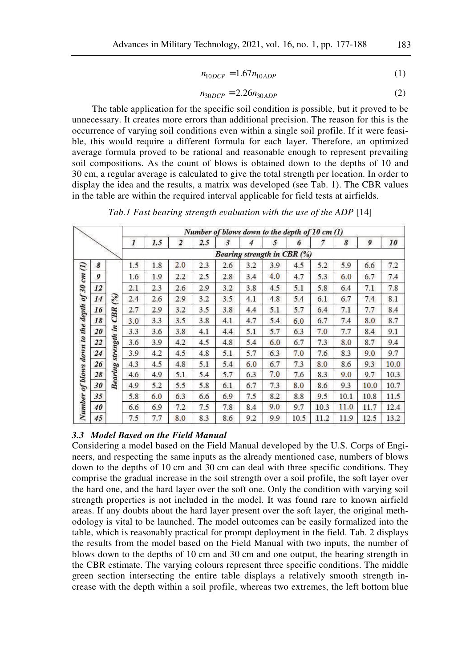$$
n_{10DCP} = 1.67n_{10ADP} \tag{1}
$$

$$
n_{30DCP} = 2.26n_{30ADP} \tag{2}
$$

The table application for the specific soil condition is possible, but it proved to be unnecessary. It creates more errors than additional precision. The reason for this is the occurrence of varying soil conditions even within a single soil profile. If it were feasible, this would require a different formula for each layer. Therefore, an optimized average formula proved to be rational and reasonable enough to represent prevailing soil compositions. As the count of blows is obtained down to the depths of 10 and 30 cm, a regular average is calculated to give the total strength per location. In order to display the idea and the results, a matrix was developed (see Tab. 1). The CBR values in the table are within the required interval applicable for field tests at airfields.

*Tab.1 Fast bearing strength evaluation with the use of the ADP* [14]

|                                                  |    |                |              | Number of blows down to the depth of 10 cm (1) |                |     |     |     |     |      |      |      |      |      |  |  |  |  |
|--------------------------------------------------|----|----------------|--------------|------------------------------------------------|----------------|-----|-----|-----|-----|------|------|------|------|------|--|--|--|--|
|                                                  |    |                | $\mathbf{1}$ | 1.5                                            | $\overline{2}$ | 2.5 | 3   | 4   | 5   | 6    | 7    | 8    | 9    | 10   |  |  |  |  |
|                                                  |    |                |              | Bearing strength in CBR (%)                    |                |     |     |     |     |      |      |      |      |      |  |  |  |  |
|                                                  | 8  |                | 1.5          | 1.8                                            | 2.0            | 2.3 | 2.6 | 3.2 | 3.9 | 4.5  | 5.2  | 5.9  | 6.6  | 7.2  |  |  |  |  |
| Number of blows down to the depth of 30 cm $(I)$ | 9  |                | 1.6          | 1.9                                            | 2.2            | 2.5 | 2.8 | 3.4 | 4.0 | 4.7  | 5.3  | 6.0  | 6.7  | 7.4  |  |  |  |  |
|                                                  | 12 |                | 2.1          | 2.3                                            | 2.6            | 2.9 | 3.2 | 3.8 | 4.5 | 5.1  | 5.8  | 6.4  | 7.1  | 7.8  |  |  |  |  |
|                                                  | 14 | $\binom{6}{0}$ | 2.4          | 2.6                                            | 2.9            | 3.2 | 3.5 | 4.1 | 4.8 | 5.4  | 6.1  | 6.7  | 7.4  | 8.1  |  |  |  |  |
|                                                  | 16 | <b>CBR</b>     | 2.7          | 2.9                                            | 3.2            | 3.5 | 3.8 | 4.4 | 5.1 | 5.7  | 6.4  | 7.1  | 7.7  | 8.4  |  |  |  |  |
|                                                  | 18 |                | 3.0          | 3.3                                            | 3.5            | 3.8 | 4.1 | 4.7 | 5.4 | 6.0  | 6.7  | 7.4  | 8.0  | 8.7  |  |  |  |  |
|                                                  | 20 | in             | 3.3          | 3.6                                            | 3.8            | 4.1 | 4.4 | 5.1 | 5.7 | 6.3  | 7.0  | 7.7  | 8.4  | 9.1  |  |  |  |  |
|                                                  | 22 | strength       | 3.6          | 3.9                                            | 4.2            | 4.5 | 4.8 | 5.4 | 6.0 | 6.7  | 7.3  | 8.0  | 8.7  | 9.4  |  |  |  |  |
|                                                  | 24 |                | 3.9          | 4.2                                            | 4.5            | 4.8 | 5.1 | 5.7 | 6.3 | 7.0  | 7.6  | 8.3  | 9.0  | 9.7  |  |  |  |  |
|                                                  | 26 |                | 4.3          | 4.5                                            | 4.8            | 5.1 | 5.4 | 6.0 | 6.7 | 7.3  | 8.0  | 8.6  | 9.3  | 10.0 |  |  |  |  |
|                                                  | 28 | <b>Bearing</b> | 4.6          | 4.9                                            | 5.1            | 5.4 | 5.7 | 6.3 | 7.0 | 7.6  | 8.3  | 9.0  | 9.7  | 10.3 |  |  |  |  |
|                                                  | 30 |                | 4.9          | 5.2                                            | 5.5            | 5.8 | 6.1 | 6.7 | 7.3 | 8.0  | 8.6  | 9.3  | 10.0 | 10.7 |  |  |  |  |
|                                                  | 35 |                | 5.8          | 6.0                                            | 6.3            | 6.6 | 6.9 | 7.5 | 8.2 | 8.8  | 9.5  | 10.1 | 10.8 | 11.5 |  |  |  |  |
|                                                  | 40 |                | 6.6          | 6.9                                            | 7.2            | 7.5 | 7.8 | 8.4 | 9.0 | 9.7  | 10.3 | 11.0 | 11.7 | 12.4 |  |  |  |  |
|                                                  | 45 |                | 7.5          | 7.7                                            | 8.0            | 8.3 | 8.6 | 9.2 | 9.9 | 10.5 | 11.2 | 11.9 | 12.5 | 13.2 |  |  |  |  |

## *3.3 Model Based on the Field Manual*

Considering a model based on the Field Manual developed by the U.S. Corps of Engineers, and respecting the same inputs as the already mentioned case, numbers of blows down to the depths of 10 cm and 30 cm can deal with three specific conditions. They comprise the gradual increase in the soil strength over a soil profile, the soft layer over the hard one, and the hard layer over the soft one. Only the condition with varying soil strength properties is not included in the model. It was found rare to known airfield areas. If any doubts about the hard layer present over the soft layer, the original methodology is vital to be launched. The model outcomes can be easily formalized into the table, which is reasonably practical for prompt deployment in the field. Tab. 2 displays the results from the model based on the Field Manual with two inputs, the number of blows down to the depths of 10 cm and 30 cm and one output, the bearing strength in the CBR estimate. The varying colours represent three specific conditions. The middle green section intersecting the entire table displays a relatively smooth strength increase with the depth within a soil profile, whereas two extremes, the left bottom blue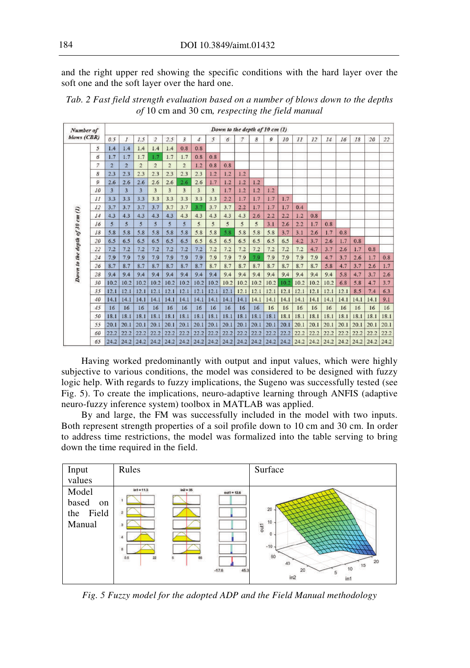and the right upper red showing the specific conditions with the hard layer over the soft one and the soft layer over the hard one.

| Number of<br>blows (CBR)       |                  |                | Down to the depth of 10 cm (1) |                |                         |                |                |                  |                |                |                         |      |                |      |      |      |      |      |      |      |      |
|--------------------------------|------------------|----------------|--------------------------------|----------------|-------------------------|----------------|----------------|------------------|----------------|----------------|-------------------------|------|----------------|------|------|------|------|------|------|------|------|
|                                |                  | 0.5            | I                              | 1.5            | $\overline{2}$          | 2.5            | 3              | $\boldsymbol{d}$ | $\overline{5}$ | 6              | $\overline{\tau}$       | 8    | $\pmb{\sigma}$ | 10   | II   | 12   | Id   | 16   | 18   | 20   | 22   |
|                                | 5                | 1.4            | 1.4                            | 1.4            | 1.4                     | 1.4            | 0.8            | 0.8              |                |                |                         |      |                |      |      |      |      |      |      |      |      |
|                                | 6                | 1.7            | 1.7                            | 1.7            | 1.7                     | 1.7            | 1.7            | 0.8              | 0.8            |                |                         |      |                |      |      |      |      |      |      |      |      |
|                                | 7                | $\overline{2}$ | $\overline{2}$                 | $\overline{2}$ | $\overline{2}$          | $\overline{2}$ | $\overline{2}$ | 1.2              | 0.8            | 0.8            |                         |      |                |      |      |      |      |      |      |      |      |
|                                | $\boldsymbol{s}$ | 2.3            | 2.3                            | 2.3            | 2.3                     | 2.3            | 2.3            | 2.3              | 1.2            | 1.2            | 1.2                     |      |                |      |      |      |      |      |      |      |      |
|                                | ø                | 2.6            | 2.6                            | 2.6            | 2.6                     | 2.6            | 2.6            | 2.6              | 1.7            | 1.2            | 1.2                     | 1.2  |                |      |      |      |      |      |      |      |      |
|                                | 10               | $\overline{3}$ | $\overline{3}$                 | $\overline{3}$ | $\overline{\mathbf{3}}$ | $\overline{3}$ | $\overline{3}$ | $\overline{3}$   | $\overline{3}$ | 1.7            | 1.2                     | 1.2  | 1.2            |      |      |      |      |      |      |      |      |
|                                | $_{II}$          | 3.3            | 3.3                            | 3.3            | 3.3                     | 3.3            | 3.3            | 3:3              | 3.3            | 2.2            | 1.7                     | 1.7  | 1.7            | 1.7  |      |      |      |      |      |      |      |
|                                | 12               | 3.7            | 3.7                            | 3.7            | 3.7                     | 3.7            | 3.7            | 3.7              | 3.7            | 3.7            | 2.2                     | 1.7  | 1.7            | 1.7  | 0.4  |      |      |      |      |      |      |
| Down to the depth of 30 cm (1) | 14               | 4.3            | 4.3                            | 4.3            | 4.3                     | 4.3            | 4.3            | 4.3              | 4.3            | 4.3            | 4.3                     | 2.6  | 2.2            | 2.2  | 1.2  | 0.8  |      |      |      |      |      |
|                                | 16               | 5              | 5                              | $\overline{5}$ | 5                       | 5              | 5              | $\overline{5}$   | 5              | $\overline{5}$ | $\overline{\mathbf{5}}$ | 5    | 3.1            | 2.6  | 2.2  | 1.7  | 0.8  |      |      |      |      |
|                                | 18               | 5.8            | 5.8                            | 5.8            | 5.8                     | 5.8            | 5.8            | 5.8              | 5.8            | 5.8            | 5.8                     | 5.8  | 5.8            | 3.7  | 3.1  | 2.6  | 1.7  | 0.8  |      |      |      |
|                                | 20               | 6.5            | 6.5                            | 6.5            | 6.5                     | 6.5            | 6.5            | 6.5              | 6.5            | 6.5            | 6.5                     | 6.5  | 6.5            | 6.5  | 4.2  | 3.7  | 2.6  | 1.7  | 0.8  |      |      |
|                                | 22               | 7.2            | 7.2                            | 7.2            | 7.2                     | 7.2            | 7.2            | 7.2              | 7.2            | 7.2            | 7.2                     | 7.2  | 7.2            | 7.2  | 7.2  | 4.7  | 3.7  | 2.6  | 1.7  | 0.8  |      |
|                                | 24               | 7.9            | 7.9                            | 7.9            | 7.9                     | 7.9            | 7.9            | 7.9              | 7.9            | 7.9            | 7.9                     | 7.9  | 7.9            | 7.9  | 7.9  | 7.9  | 4.7  | 3.7  | 2.6  | 1.7  | 0.8  |
|                                | 26               | 8.7            | 8.7                            | 8.7            | 8.7                     | 8.7            | 8.7            | 8.7              | 8.7            | 8.7            | 8.7                     | 8.7  | 8.7            | 8.7  | 8.7  | 8.7  | 5.8  | 4.7  | 3.7  | 2.6  | 1.7  |
|                                | 28               | 9.4            | 9.4                            | 9.4            | 9.4                     | 9.4            | 9.4            | 9.4              | 9.4            | 9.4            | 9.4                     | 9.4  | 9.4            | 9.4  | 9.4  | 9.4  | 9.4  | 5.8  | 4.7  | 3.7  | 2.6  |
|                                | 30               | 10.2           | 10.2                           | 10.2           | 10.2                    | 10.2           | 10.2           | 10.2             | 10.2           | 10.2           | 10.2                    | 10.2 | 10.2           | 10.2 | 10.2 | 10.2 | 10.2 | 6.8  | 5.8  | 4.7  | 3.7  |
|                                | 35               | 12.1           | 12.1                           | 12.1           | 12.1                    | 12.1           | 12.1           | 12.1             | 12.1           | 12.1           | 12.1                    | 12.1 | 12.1           | 12.1 | 12.1 | 12.1 | 12.1 | 12.1 | 8.5  | 7.4  | 6.3  |
|                                | 40               | 14.1           | 14.1                           | 14.1           | 14.1                    | 14.1           | 14.1           | 14.1             | 14.1           | 14.1           | 14.1                    | 14.1 | 14.1           | 14.1 | 14.1 | 14.1 | 14.1 | 14.1 | 14.1 | 14.1 | 9.1  |
|                                | d5               | 16             | 16                             | 16             | 16                      | 16             | 16             | 16               | 16             | 16             | 16                      | 16   | 16             | 16   | 16   | 16   | 16   | 16   | 16   | 16   | 16   |
|                                | 50               | 18.1           | 18.1                           | 18.1           | 18.1                    | 18.1           | 18.1           | 18.1             | 18.1           | 18.1           | 18.1                    | 18.1 | 18.1           | 18.1 | 18.1 | 18.1 | 18.1 | 18.1 | 18.1 | 18.1 | 18.1 |
|                                | 55               | 20.1           | 20.1                           | 20.1           | 20.1                    | 20.1           | 20.1           | 20.1             | 20.1           | 20.1           | 20.1                    | 20.1 | 20.1           | 20.1 | 20.1 | 20.1 | 20.1 | 20.1 | 20.1 | 20.1 | 20.1 |
|                                | 60               | 22.2           | 22.2                           | 22.2           | 22.2                    | 22.2           | 22.2           | 22.2             | 22.2           | 22.2           | 22.2                    | 22.2 | 22.2           | 22.2 | 22.2 | 22.2 | 22.2 | 22.2 | 22.2 | 22.2 | 22.2 |
|                                | 65               | 24.2           | 24.2                           | 24.2           | 24.2                    | 24.2           | 24.2           | 24.2 24.2        |                | 24.2           | 24.2                    | 24.2 | 24.2           | 24.2 | 24.2 | 24.2 | 24.2 | 24.2 | 24.2 | 24.2 | 24.2 |

*Tab. 2 Fast field strength evaluation based on a number of blows down to the depths of* 10 cm and 30 cm*, respecting the field manual* 

Having worked predominantly with output and input values, which were highly subjective to various conditions, the model was considered to be designed with fuzzy logic help. With regards to fuzzy implications, the Sugeno was successfully tested (see Fig. 5). To create the implications, neuro-adaptive learning through ANFIS (adaptive neuro-fuzzy inference system) toolbox in MATLAB was applied.

By and large, the FM was successfully included in the model with two inputs. Both represent strength properties of a soil profile down to 10 cm and 30 cm. In order to address time restrictions, the model was formalized into the table serving to bring down the time required in the field.



*Fig. 5 Fuzzy model for the adopted ADP and the Field Manual methodology*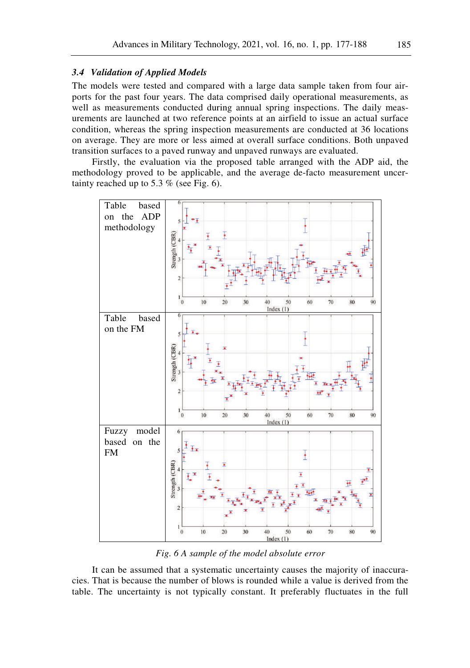## *3.4 Validation of Applied Models*

The models were tested and compared with a large data sample taken from four airports for the past four years. The data comprised daily operational measurements, as well as measurements conducted during annual spring inspections. The daily measurements are launched at two reference points at an airfield to issue an actual surface condition, whereas the spring inspection measurements are conducted at 36 locations on average. They are more or less aimed at overall surface conditions. Both unpaved transition surfaces to a paved runway and unpaved runways are evaluated.

Firstly, the evaluation via the proposed table arranged with the ADP aid, the methodology proved to be applicable, and the average de-facto measurement uncertainty reached up to 5.3  $%$  (see Fig. 6).



*Fig. 6 A sample of the model absolute error* 

It can be assumed that a systematic uncertainty causes the majority of inaccuracies. That is because the number of blows is rounded while a value is derived from the table. The uncertainty is not typically constant. It preferably fluctuates in the full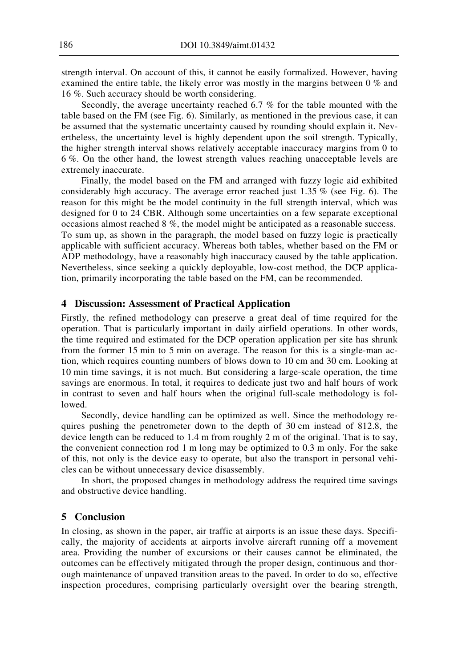strength interval. On account of this, it cannot be easily formalized. However, having examined the entire table, the likely error was mostly in the margins between 0 % and 16 %. Such accuracy should be worth considering.

Secondly, the average uncertainty reached 6.7 % for the table mounted with the table based on the FM (see Fig. 6). Similarly, as mentioned in the previous case, it can be assumed that the systematic uncertainty caused by rounding should explain it. Nevertheless, the uncertainty level is highly dependent upon the soil strength. Typically, the higher strength interval shows relatively acceptable inaccuracy margins from 0 to 6 %. On the other hand, the lowest strength values reaching unacceptable levels are extremely inaccurate.

Finally, the model based on the FM and arranged with fuzzy logic aid exhibited considerably high accuracy. The average error reached just 1.35 % (see Fig. 6). The reason for this might be the model continuity in the full strength interval, which was designed for 0 to 24 CBR. Although some uncertainties on a few separate exceptional occasions almost reached 8 %, the model might be anticipated as a reasonable success. To sum up, as shown in the paragraph, the model based on fuzzy logic is practically applicable with sufficient accuracy. Whereas both tables, whether based on the FM or ADP methodology, have a reasonably high inaccuracy caused by the table application. Nevertheless, since seeking a quickly deployable, low-cost method, the DCP application, primarily incorporating the table based on the FM, can be recommended.

## **4 Discussion: Assessment of Practical Application**

Firstly, the refined methodology can preserve a great deal of time required for the operation. That is particularly important in daily airfield operations. In other words, the time required and estimated for the DCP operation application per site has shrunk from the former 15 min to 5 min on average. The reason for this is a single-man action, which requires counting numbers of blows down to 10 cm and 30 cm. Looking at 10 min time savings, it is not much. But considering a large-scale operation, the time savings are enormous. In total, it requires to dedicate just two and half hours of work in contrast to seven and half hours when the original full-scale methodology is followed.

Secondly, device handling can be optimized as well. Since the methodology requires pushing the penetrometer down to the depth of 30 cm instead of 812.8, the device length can be reduced to 1.4 m from roughly 2 m of the original. That is to say, the convenient connection rod 1 m long may be optimized to 0.3 m only. For the sake of this, not only is the device easy to operate, but also the transport in personal vehicles can be without unnecessary device disassembly.

In short, the proposed changes in methodology address the required time savings and obstructive device handling.

## **5 Conclusion**

In closing, as shown in the paper, air traffic at airports is an issue these days. Specifically, the majority of accidents at airports involve aircraft running off a movement area. Providing the number of excursions or their causes cannot be eliminated, the outcomes can be effectively mitigated through the proper design, continuous and thorough maintenance of unpaved transition areas to the paved. In order to do so, effective inspection procedures, comprising particularly oversight over the bearing strength,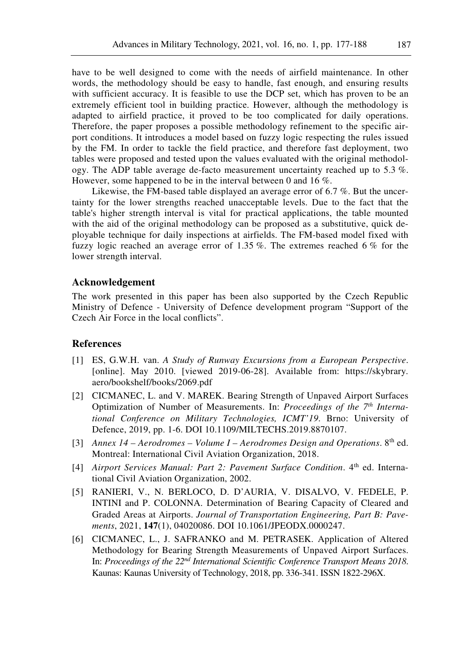have to be well designed to come with the needs of airfield maintenance. In other words, the methodology should be easy to handle, fast enough, and ensuring results with sufficient accuracy. It is feasible to use the DCP set, which has proven to be an extremely efficient tool in building practice. However, although the methodology is adapted to airfield practice, it proved to be too complicated for daily operations. Therefore, the paper proposes a possible methodology refinement to the specific airport conditions. It introduces a model based on fuzzy logic respecting the rules issued by the FM. In order to tackle the field practice, and therefore fast deployment, two tables were proposed and tested upon the values evaluated with the original methodology. The ADP table average de-facto measurement uncertainty reached up to  $5.3\%$ . However, some happened to be in the interval between 0 and 16 %.

Likewise, the FM-based table displayed an average error of 6.7 %. But the uncertainty for the lower strengths reached unacceptable levels. Due to the fact that the table's higher strength interval is vital for practical applications, the table mounted with the aid of the original methodology can be proposed as a substitutive, quick deployable technique for daily inspections at airfields. The FM-based model fixed with fuzzy logic reached an average error of 1.35 %. The extremes reached 6 % for the lower strength interval.

## **Acknowledgement**

The work presented in this paper has been also supported by the Czech Republic Ministry of Defence - University of Defence development program "Support of the Czech Air Force in the local conflicts".

## **References**

- [1] ES, G.W.H. van. *A Study of Runway Excursions from a European Perspective*. [online]. May 2010. [viewed 2019-06-28]. Available from: https://skybrary. aero/bookshelf/books/2069.pdf
- [2] CICMANEC, L. and V. MAREK. Bearing Strength of Unpaved Airport Surfaces Optimization of Number of Measurements. In: *Proceedings of the 7th International Conference on Military Technologies, ICMT'19*. Brno: University of Defence, 2019, pp. 1-6. DOI 10.1109/MILTECHS.2019.8870107.
- [3] *Annex 14 Aerodromes Volume I Aerodromes Design and Operations*. 8th ed. Montreal: International Civil Aviation Organization, 2018.
- [4] *Airport Services Manual: Part 2: Pavement Surface Condition*. 4th ed. International Civil Aviation Organization, 2002.
- [5] RANIERI, V., N. BERLOCO, D. D'AURIA, V. DISALVO, V. FEDELE, P. INTINI and P. COLONNA. Determination of Bearing Capacity of Cleared and Graded Areas at Airports. *Journal of Transportation Engineering, Part B: Pavements*, 2021, **147**(1), 04020086. DOI 10.1061/JPEODX.0000247.
- [6] CICMANEC, L., J. SAFRANKO and M. PETRASEK. Application of Altered Methodology for Bearing Strength Measurements of Unpaved Airport Surfaces. In: *Proceedings of the 22nd International Scientific Conference Transport Means 2018*. Kaunas: Kaunas University of Technology, 2018, pp. 336-341. ISSN 1822-296X.